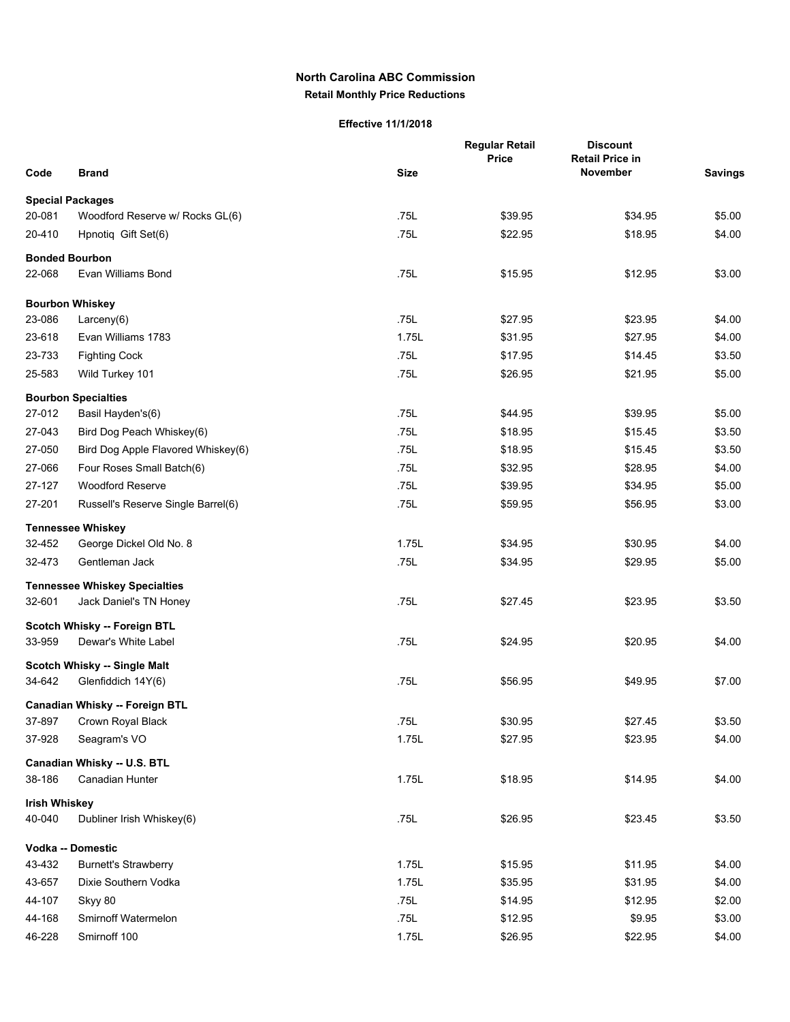## **North Carolina ABC Commission Retail Monthly Price Reductions**

## **Effective 11/1/2018**

| Code                 | <b>Brand</b>                                        | <b>Size</b> | <b>Regular Retail</b><br><b>Price</b> | <b>Discount</b><br><b>Retail Price in</b><br>November | <b>Savings</b> |
|----------------------|-----------------------------------------------------|-------------|---------------------------------------|-------------------------------------------------------|----------------|
|                      |                                                     |             |                                       |                                                       |                |
|                      | <b>Special Packages</b>                             |             |                                       |                                                       |                |
| 20-081               | Woodford Reserve w/ Rocks GL(6)                     | .75L        | \$39.95                               | \$34.95                                               | \$5.00         |
| 20-410               | Hpnotiq Gift Set(6)                                 | .75L        | \$22.95                               | \$18.95                                               | \$4.00         |
|                      | <b>Bonded Bourbon</b>                               |             |                                       |                                                       |                |
| 22-068               | Evan Williams Bond                                  | .75L        | \$15.95                               | \$12.95                                               | \$3.00         |
|                      | <b>Bourbon Whiskey</b>                              |             |                                       |                                                       |                |
| 23-086               | Larceny(6)                                          | .75L        | \$27.95                               | \$23.95                                               | \$4.00         |
| 23-618               | Evan Williams 1783                                  | 1.75L       | \$31.95                               | \$27.95                                               | \$4.00         |
| 23-733               | <b>Fighting Cock</b>                                | .75L        | \$17.95                               | \$14.45                                               | \$3.50         |
| 25-583               | Wild Turkey 101                                     | .75L        | \$26.95                               | \$21.95                                               | \$5.00         |
|                      | <b>Bourbon Specialties</b>                          |             |                                       |                                                       |                |
| 27-012               | Basil Hayden's(6)                                   | .75L        | \$44.95                               | \$39.95                                               | \$5.00         |
| 27-043               | Bird Dog Peach Whiskey(6)                           | .75L        | \$18.95                               | \$15.45                                               | \$3.50         |
| 27-050               | Bird Dog Apple Flavored Whiskey(6)                  | .75L        | \$18.95                               | \$15.45                                               | \$3.50         |
| 27-066               | Four Roses Small Batch(6)                           | .75L        | \$32.95                               | \$28.95                                               | \$4.00         |
| 27-127               | <b>Woodford Reserve</b>                             | .75L        | \$39.95                               | \$34.95                                               | \$5.00         |
| 27-201               | Russell's Reserve Single Barrel(6)                  | .75L        | \$59.95                               | \$56.95                                               | \$3.00         |
|                      | <b>Tennessee Whiskey</b>                            |             |                                       |                                                       |                |
| 32-452               | George Dickel Old No. 8                             | 1.75L       | \$34.95                               | \$30.95                                               | \$4.00         |
| 32-473               | Gentleman Jack                                      | .75L        | \$34.95                               | \$29.95                                               | \$5.00         |
|                      | <b>Tennessee Whiskey Specialties</b>                |             |                                       |                                                       |                |
| 32-601               | Jack Daniel's TN Honey                              | .75L        | \$27.45                               | \$23.95                                               | \$3.50         |
|                      |                                                     |             |                                       |                                                       |                |
| 33-959               | Scotch Whisky -- Foreign BTL<br>Dewar's White Label | .75L        | \$24.95                               | \$20.95                                               | \$4.00         |
|                      |                                                     |             |                                       |                                                       |                |
|                      | Scotch Whisky -- Single Malt                        |             |                                       |                                                       |                |
| 34-642               | Glenfiddich 14Y(6)                                  | .75L        | \$56.95                               | \$49.95                                               | \$7.00         |
|                      | Canadian Whisky -- Foreign BTL                      |             |                                       |                                                       |                |
| 37-897               | Crown Royal Black                                   | .75L        | \$30.95                               | \$27.45                                               | \$3.50         |
| 37-928               | Seagram's VO                                        | 1.75L       | \$27.95                               | \$23.95                                               | \$4.00         |
|                      | Canadian Whisky -- U.S. BTL                         |             |                                       |                                                       |                |
| 38-186               | Canadian Hunter                                     | 1.75L       | \$18.95                               | \$14.95                                               | \$4.00         |
| <b>Irish Whiskey</b> |                                                     |             |                                       |                                                       |                |
| 40-040               | Dubliner Irish Whiskey(6)                           | .75L        | \$26.95                               | \$23.45                                               | \$3.50         |
|                      | Vodka -- Domestic                                   |             |                                       |                                                       |                |
| 43-432               | <b>Burnett's Strawberry</b>                         | 1.75L       | \$15.95                               | \$11.95                                               | \$4.00         |
| 43-657               | Dixie Southern Vodka                                | 1.75L       | \$35.95                               | \$31.95                                               | \$4.00         |
| 44-107               | Skyy 80                                             | .75L        | \$14.95                               | \$12.95                                               | \$2.00         |
| 44-168               | Smirnoff Watermelon                                 | .75L        | \$12.95                               | \$9.95                                                | \$3.00         |
| 46-228               | Smirnoff 100                                        | 1.75L       | \$26.95                               | \$22.95                                               | \$4.00         |
|                      |                                                     |             |                                       |                                                       |                |